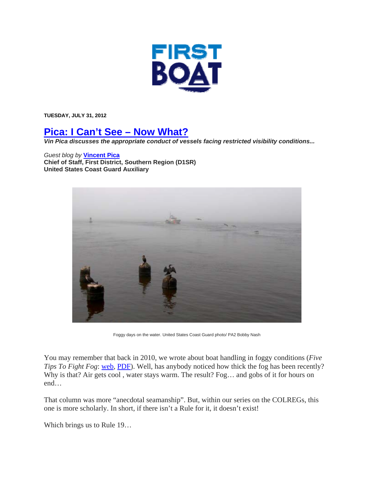

**TUESDAY, JULY 31, 2012** 

## **Pica: I Can't See – Now What?**

*Vin Pica discusses the appropriate conduct of vessels facing restricted visibility conditions...* 

## *Guest blog by* **Vincent Pica**

**Chief of Staff, First District, Southern Region (D1SR) United States Coast Guard Auxiliary**



Foggy days on the water. United States Coast Guard photo/ PA2 Bobby Nash

You may remember that back in 2010, we wrote about boat handling in foggy conditions (*Five Tips To Fight Fog*: web, PDF). Well, has anybody noticed how thick the fog has been recently? Why is that? Air gets cool, water stays warm. The result? Fog... and gobs of it for hours on end…

That column was more "anecdotal seamanship". But, within our series on the COLREGs, this one is more scholarly. In short, if there isn't a Rule for it, it doesn't exist!

Which brings us to Rule 19…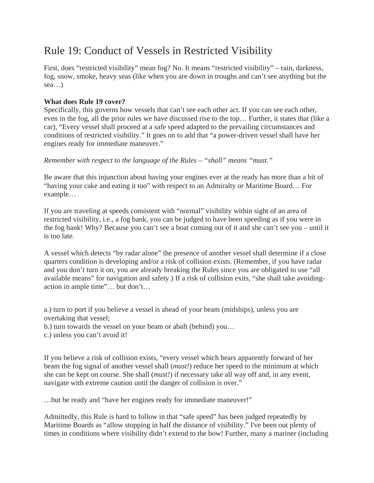## Rule 19: Conduct of Vessels in Restricted Visibility

First, does "restricted visibility" mean fog? No. It means "restricted visibility" – rain, darkness, fog, snow, smoke, heavy seas (like when you are down in troughs and can't see anything but the sea…)

## **What does Rule 19 cover?**

Specifically, this governs how vessels that can't see each other act. If you can see each other, even in the fog, all the prior rules we have discussed rise to the top… Further, it states that (like a car), "Every vessel shall proceed at a safe speed adapted to the prevailing circumstances and conditions of restricted visibility." It goes on to add that "a power-driven vessel shall have her engines ready for immediate maneuver."

*Remember with respect to the language of the Rules – "shall" means "must."*

Be aware that this injunction about having your engines ever at the ready has more than a bit of "having your cake and eating it too" with respect to an Admiralty or Maritime Board… For example…

If you are traveling at speeds consistent with "normal" visibility within sight of an area of restricted visibility, i.e., a fog bank, you can be judged to have been speeding as if you were in the fog bank! Why? Because you can't see a boat coming out of it and she can't see you – until it is too late.

A vessel which detects "by radar alone" the presence of another vessel shall determine if a close quarters condition is developing and/or a risk of collision exists. (Remember, if you have radar and you don't turn it on, you are already breaking the Rules since you are obligated to use "all available means" for navigation and safety.) If a risk of collision exits, "she shall take avoidingaction in ample time"… but don't…

a.) turn to port if you believe a vessel is ahead of your beam (midships), unless you are overtaking that vessel;

b.) turn towards the vessel on your beam or abaft (behind) you…

c.) unless you can't avoid it!

If you believe a risk of collision exists, "every vessel which hears apparently forward of her beam the fog signal of another vessel shall (*must!*) reduce her speed to the minimum at which she can be kept on course. She shall (*must!*) if necessary take all way off and, in any event, navigate with extreme caution until the danger of collision is over."

…but be ready and "have her engines ready for immediate maneuver!"

Admittedly, this Rule is hard to follow in that "safe speed" has been judged repeatedly by Maritime Boards as "allow stopping in half the distance of visibility." I've been out plenty of times in conditions where visibility didn't extend to the bow! Further, many a mariner (including